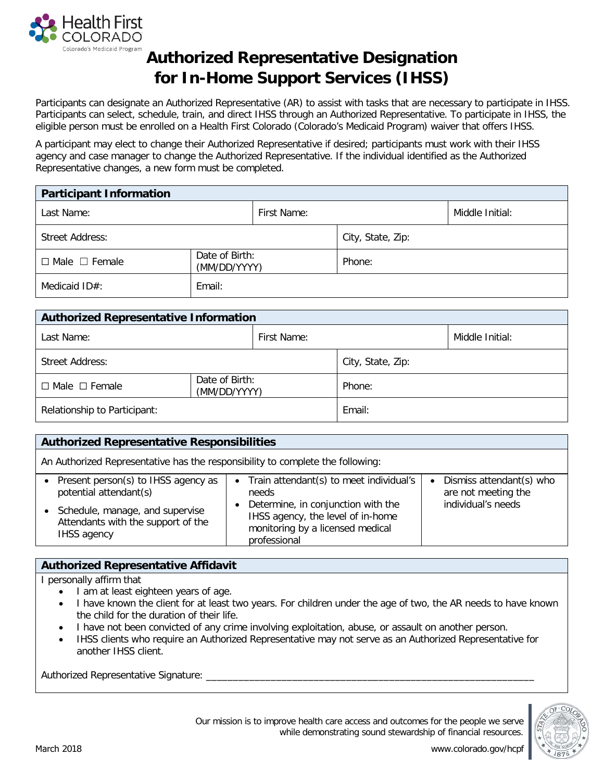

## **Authorized Representative Designation for In-Home Support Services (IHSS)**

Participants can designate an Authorized Representative (AR) to assist with tasks that are necessary to participate in IHSS. Participants can select, schedule, train, and direct IHSS through an Authorized Representative. To participate in IHSS, the eligible person must be enrolled on a Health First Colorado (Colorado's Medicaid Program) waiver that offers IHSS.

A participant may elect to change their Authorized Representative if desired; participants must work with their IHSS agency and case manager to change the Authorized Representative. If the individual identified as the Authorized Representative changes, a new form must be completed.

| <b>Participant Information</b> |                                |             |                   |                 |  |  |  |
|--------------------------------|--------------------------------|-------------|-------------------|-----------------|--|--|--|
| Last Name:                     |                                | First Name: |                   | Middle Initial: |  |  |  |
| Street Address:                |                                |             | City, State, Zip: |                 |  |  |  |
| $\Box$ Male $\Box$ Female      | Date of Birth:<br>(MM/DD/YYYY) |             | Phone:            |                 |  |  |  |
| Medicaid ID#:                  | Email:                         |             |                   |                 |  |  |  |

| <b>Authorized Representative Information</b> |                                |             |                   |                 |  |  |  |
|----------------------------------------------|--------------------------------|-------------|-------------------|-----------------|--|--|--|
| Last Name:                                   |                                | First Name: |                   | Middle Initial: |  |  |  |
| <b>Street Address:</b>                       |                                |             | City, State, Zip: |                 |  |  |  |
| $\Box$ Male $\Box$ Female                    | Date of Birth:<br>(MM/DD/YYYY) |             | Phone:            |                 |  |  |  |
| Relationship to Participant:                 |                                | Email:      |                   |                 |  |  |  |

| <b>Authorized Representative Responsibilities</b>                                                                                                                         |                                                                                                                                                                                                |                                                                       |  |  |  |  |
|---------------------------------------------------------------------------------------------------------------------------------------------------------------------------|------------------------------------------------------------------------------------------------------------------------------------------------------------------------------------------------|-----------------------------------------------------------------------|--|--|--|--|
| An Authorized Representative has the responsibility to complete the following:                                                                                            |                                                                                                                                                                                                |                                                                       |  |  |  |  |
| Present person(s) to IHSS agency as<br>$\bullet$<br>potential attendant(s)<br>Schedule, manage, and supervise<br>Attendants with the support of the<br><b>IHSS agency</b> | • Train attendant(s) to meet individual's<br>needs<br>Determine, in conjunction with the<br>$\bullet$<br>IHSS agency, the level of in-home<br>monitoring by a licensed medical<br>professional | Dismiss attendant(s) who<br>are not meeting the<br>individual's needs |  |  |  |  |

## **Authorized Representative Affidavit**

I personally affirm that

- I am at least eighteen years of age.
- I have known the client for at least two years. For children under the age of two, the AR needs to have known the child for the duration of their life.
- I have not been convicted of any crime involving exploitation, abuse, or assault on another person.
- IHSS clients who require an Authorized Representative may not serve as an Authorized Representative for another IHSS client.

Authorized Representative Signature:



Our mission is to improve health care access and outcomes for the people we serve while demonstrating sound stewardship of financial resources.